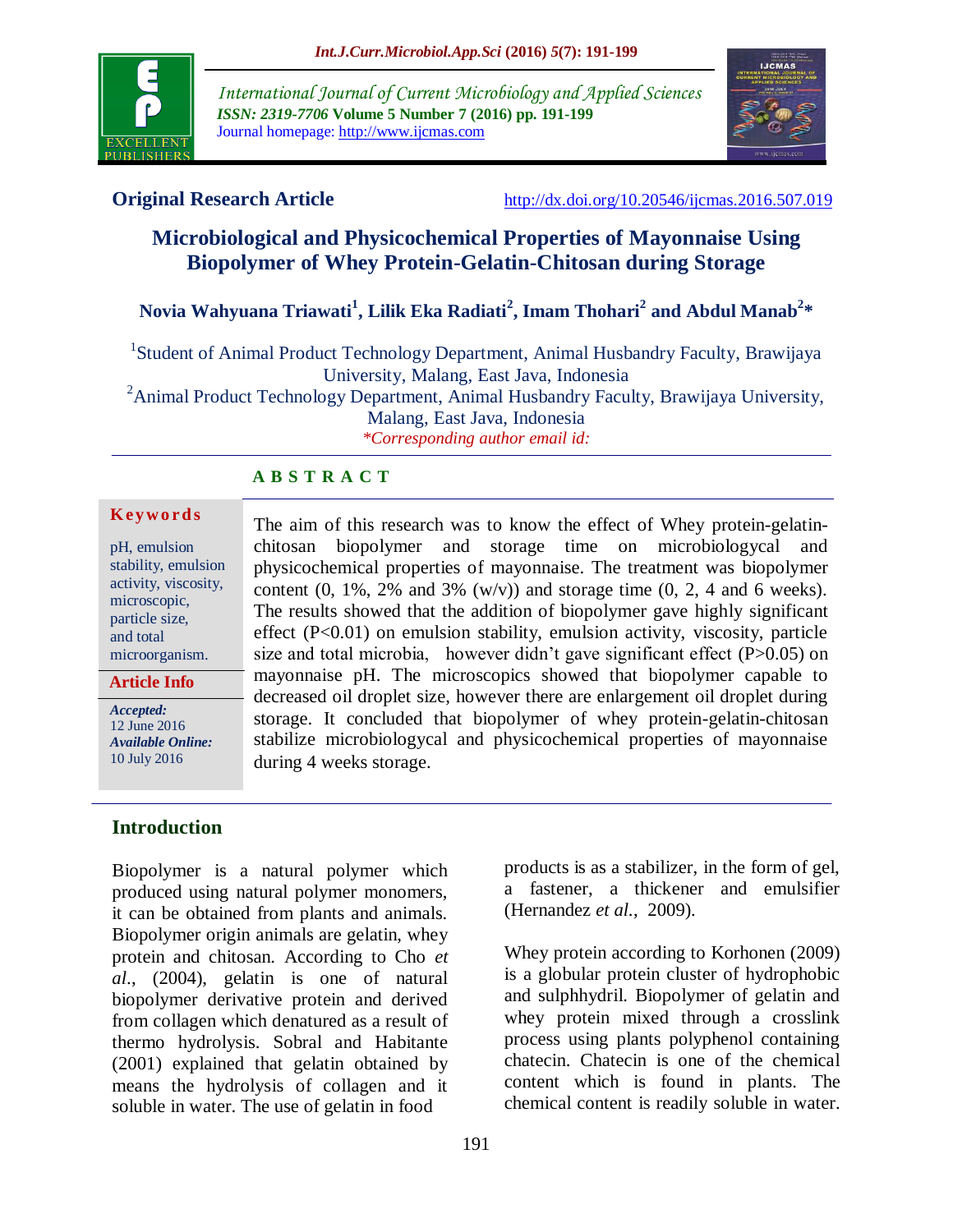

*International Journal of Current Microbiology and Applied Sciences ISSN: 2319-7706* **Volume 5 Number 7 (2016) pp. 191-199** Journal homepage: http://www.ijcmas.com



**Original Research Article** <http://dx.doi.org/10.20546/ijcmas.2016.507.019>

# **Microbiological and Physicochemical Properties of Mayonnaise Using Biopolymer of Whey Protein-Gelatin-Chitosan during Storage**

# **Novia Wahyuana Triawati<sup>1</sup> , Lilik Eka Radiati<sup>2</sup> , Imam Thohari<sup>2</sup> and Abdul Manab<sup>2</sup> \***

<sup>1</sup>Student of Animal Product Technology Department, Animal Husbandry Faculty, Brawijaya University, Malang, East Java, Indonesia

 $2A$ nimal Product Technology Department, Animal Husbandry Faculty, Brawijaya University, Malang, East Java, Indonesia *\*Corresponding author email id:* 

## **A B S T R A C T**

#### **K ey w o rd s**

pH, emulsion stability, emulsion activity, viscosity, microscopic, particle size, and total microorganism.

**Article Info**

*Accepted:*  12 June 2016 *Available Online:* 10 July 2016

chitosan biopolymer and storage time on microbiologycal and physicochemical properties of mayonnaise. The treatment was biopolymer content  $(0, 1\%, 2\%$  and  $3\%$   $(w/v)$  and storage time  $(0, 2, 4$  and 6 weeks). The results showed that the addition of biopolymer gave highly significant effect (P<0.01) on emulsion stability, emulsion activity, viscosity, particle size and total microbia, however didn't gave significant effect  $(P>0.05)$  on mayonnaise pH. The microscopics showed that biopolymer capable to decreased oil droplet size, however there are enlargement oil droplet during storage. It concluded that biopolymer of whey protein-gelatin-chitosan stabilize microbiologycal and physicochemical properties of mayonnaise during 4 weeks storage.

The aim of this research was to know the effect of Whey protein-gelatin-

# **Introduction**

Biopolymer is a natural polymer which produced using natural polymer monomers, it can be obtained from plants and animals. Biopolymer origin animals are gelatin, whey protein and chitosan. According to Cho *et al*., (2004), gelatin is one of natural biopolymer derivative protein and derived from collagen which denatured as a result of thermo hydrolysis. Sobral and Habitante (2001) explained that gelatin obtained by means the hydrolysis of collagen and it soluble in water. The use of gelatin in food

products is as a stabilizer, in the form of gel, a fastener, a thickener and emulsifier (Hernandez *et al.*, 2009).

Whey protein according to Korhonen (2009) is a globular protein cluster of hydrophobic and sulphhydril. Biopolymer of gelatin and whey protein mixed through a crosslink process using plants polyphenol containing chatecin. Chatecin is one of the chemical content which is found in plants. The chemical content is readily soluble in water.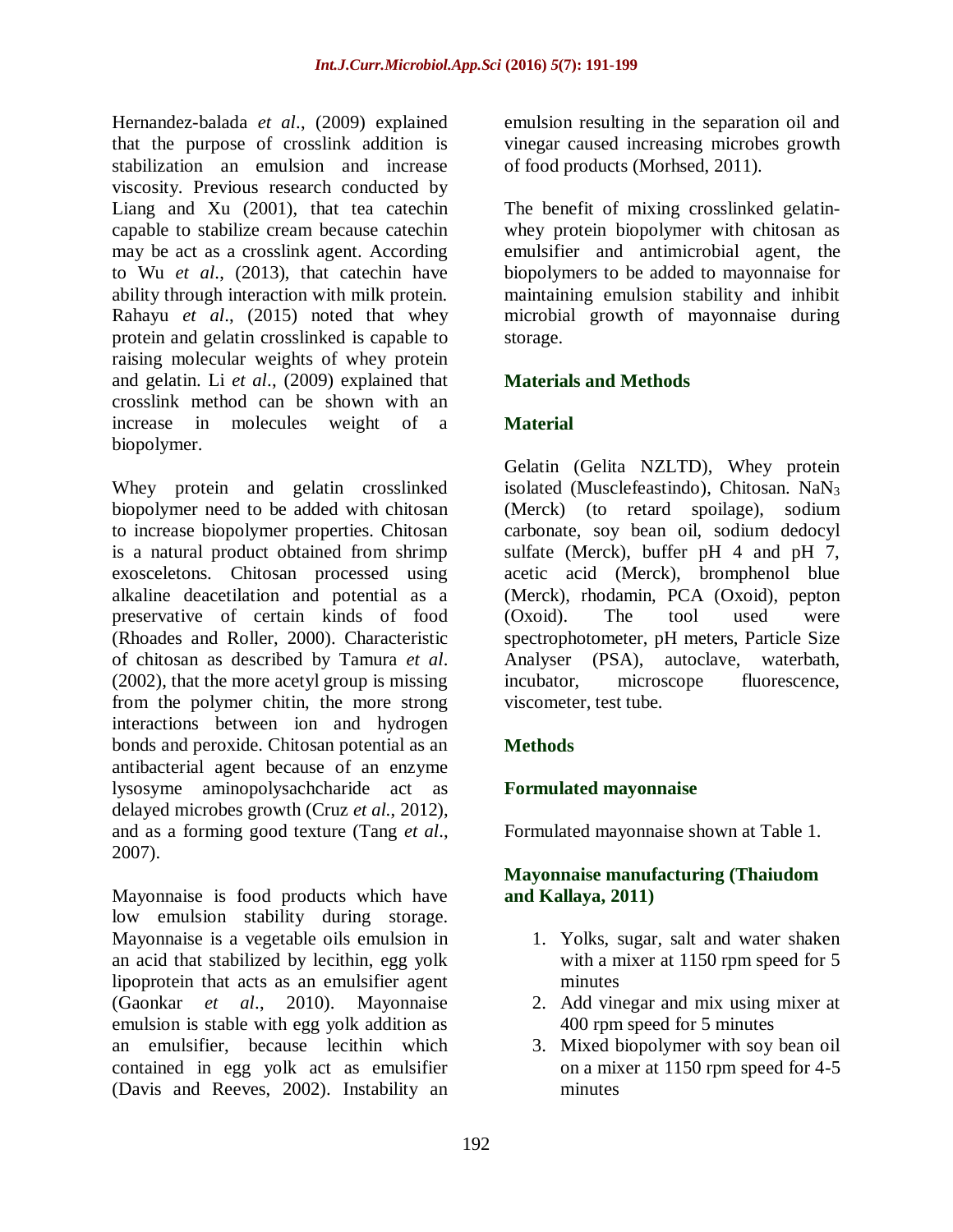Hernandez-balada *et al*., (2009) explained that the purpose of crosslink addition is stabilization an emulsion and increase viscosity. Previous research conducted by Liang and Xu (2001), that tea catechin capable to stabilize cream because catechin may be act as a crosslink agent. According to Wu *et al*., (2013), that catechin have ability through interaction with milk protein. Rahayu *et al*., (2015) noted that whey protein and gelatin crosslinked is capable to raising molecular weights of whey protein and gelatin. Li *et al*., (2009) explained that crosslink method can be shown with an increase in molecules weight of a biopolymer.

Whey protein and gelatin crosslinked biopolymer need to be added with chitosan to increase biopolymer properties. Chitosan is a natural product obtained from shrimp exosceletons. Chitosan processed using alkaline deacetilation and potential as a preservative of certain kinds of food (Rhoades and Roller, 2000). Characteristic of chitosan as described by Tamura *et al*. (2002), that the more acetyl group is missing from the polymer chitin, the more strong interactions between ion and hydrogen bonds and peroxide. Chitosan potential as an antibacterial agent because of an enzyme lysosyme aminopolysachcharide act as delayed microbes growth (Cruz *et al*., 2012), and as a forming good texture (Tang *et al*., 2007).

Mayonnaise is food products which have low emulsion stability during storage. Mayonnaise is a vegetable oils emulsion in an acid that stabilized by lecithin, egg yolk lipoprotein that acts as an emulsifier agent (Gaonkar *et al*., 2010). Mayonnaise emulsion is stable with egg yolk addition as an emulsifier, because lecithin which contained in egg yolk act as emulsifier (Davis and Reeves, 2002). Instability an emulsion resulting in the separation oil and vinegar caused increasing microbes growth of food products (Morhsed, 2011).

The benefit of mixing crosslinked gelatinwhey protein biopolymer with chitosan as emulsifier and antimicrobial agent, the biopolymers to be added to mayonnaise for maintaining emulsion stability and inhibit microbial growth of mayonnaise during storage.

# **Materials and Methods**

# **Material**

Gelatin (Gelita NZLTD), Whey protein isolated (Musclefeastindo), Chitosan. NaN<sub>3</sub> (Merck) (to retard spoilage), sodium carbonate, soy bean oil, sodium dedocyl sulfate (Merck), buffer pH 4 and pH 7, acetic acid (Merck), bromphenol blue (Merck), rhodamin, PCA (Oxoid), pepton (Oxoid). The tool used were spectrophotometer, pH meters, Particle Size Analyser (PSA), autoclave, waterbath, incubator, microscope fluorescence, viscometer, test tube.

# **Methods**

## **Formulated mayonnaise**

Formulated mayonnaise shown at Table 1.

## **Mayonnaise manufacturing (Thaiudom and Kallaya, 2011)**

- 1. Yolks, sugar, salt and water shaken with a mixer at 1150 rpm speed for 5 minutes
- 2. Add vinegar and mix using mixer at 400 rpm speed for 5 minutes
- 3. Mixed biopolymer with soy bean oil on a mixer at 1150 rpm speed for 4-5 minutes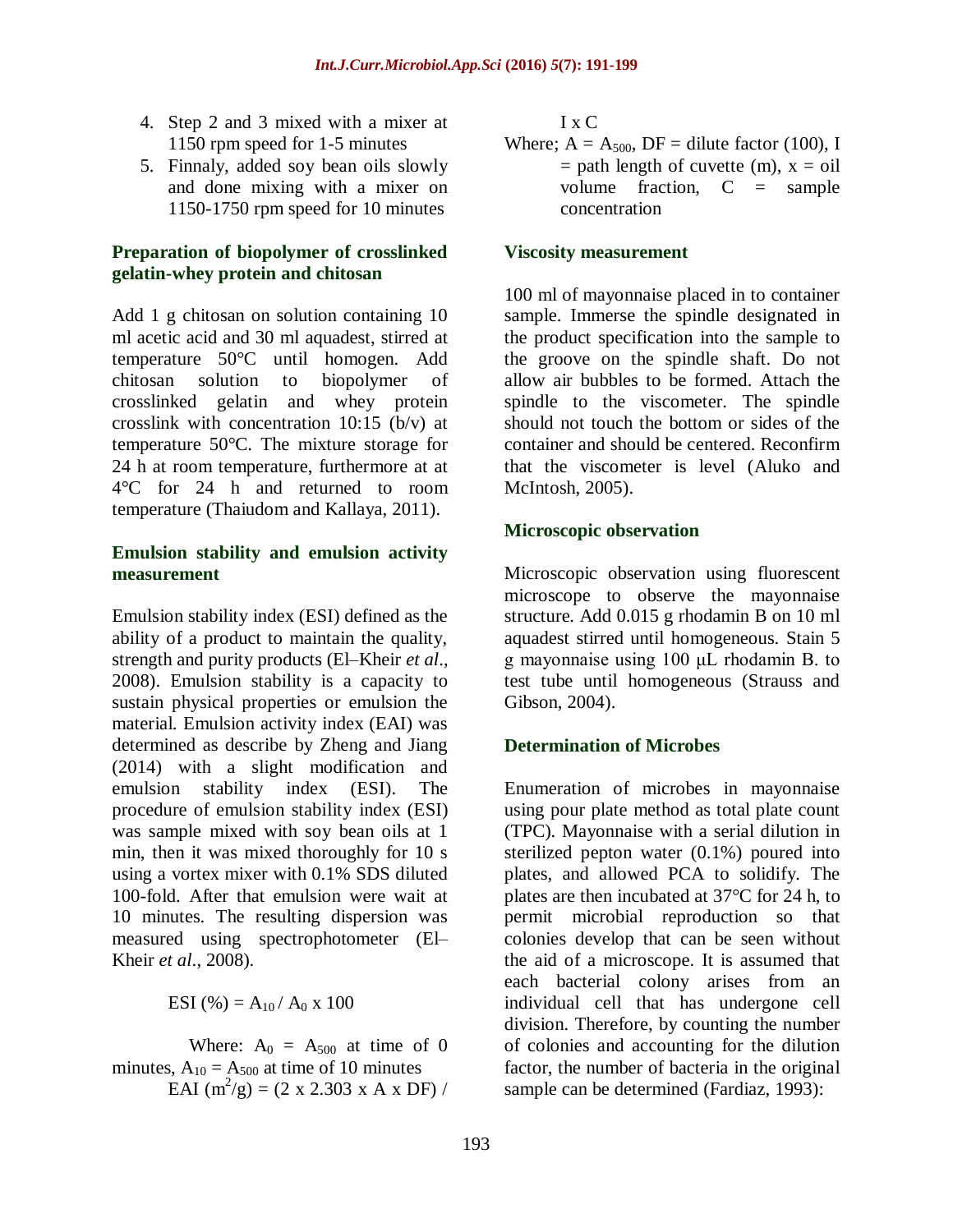- 4. Step 2 and 3 mixed with a mixer at 1150 rpm speed for 1-5 minutes
- 5. Finnaly, added soy bean oils slowly and done mixing with a mixer on 1150-1750 rpm speed for 10 minutes

## **Preparation of biopolymer of crosslinked gelatin-whey protein and chitosan**

Add 1 g chitosan on solution containing 10 ml acetic acid and 30 ml aquadest, stirred at temperature 50°C until homogen. Add chitosan solution to biopolymer of crosslinked gelatin and whey protein crosslink with concentration 10:15 (b/v) at temperature 50°C. The mixture storage for 24 h at room temperature, furthermore at at 4°C for 24 h and returned to room temperature (Thaiudom and Kallaya, 2011).

## **Emulsion stability and emulsion activity measurement**

Emulsion stability index (ESI) defined as the ability of a product to maintain the quality, strength and purity products (El–Kheir *et al*., 2008). Emulsion stability is a capacity to sustain physical properties or emulsion the material. Emulsion activity index (EAI) was determined as describe by Zheng and Jiang (2014) with a slight modification and emulsion stability index (ESI). The procedure of emulsion stability index (ESI) was sample mixed with soy bean oils at 1 min, then it was mixed thoroughly for 10 s using a vortex mixer with 0.1% SDS diluted 100-fold. After that emulsion were wait at 10 minutes. The resulting dispersion was measured using spectrophotometer (El– Kheir *et al*., 2008).

ESI (%) =  $A_{10}/A_0 \times 100$ 

Where:  $A_0 = A_{500}$  at time of 0 minutes,  $A_{10} = A_{500}$  at time of 10 minutes EAI  $(m^2/g) = (2 \times 2.303 \times A \times DF)$  / I x C

Where;  $A = A_{500}$ ,  $DF =$  dilute factor (100), I  $=$  path length of cuvette (m),  $x = oil$ volume fraction,  $C =$  sample concentration

### **Viscosity measurement**

100 ml of mayonnaise placed in to container sample. Immerse the spindle designated in the product specification into the sample to the groove on the spindle shaft. Do not allow air bubbles to be formed. Attach the spindle to the viscometer. The spindle should not touch the bottom or sides of the container and should be centered. Reconfirm that the viscometer is level (Aluko and McIntosh, 2005).

## **Microscopic observation**

Microscopic observation using fluorescent microscope to observe the mayonnaise structure. Add 0.015 g rhodamin B on 10 ml aquadest stirred until homogeneous. Stain 5 g mayonnaise using 100 μL rhodamin B. to test tube until homogeneous (Strauss and Gibson, 2004).

## **Determination of Microbes**

Enumeration of microbes in mayonnaise using pour plate method as total plate count (TPC). Mayonnaise with a serial dilution in sterilized pepton water (0.1%) poured into plates, and allowed PCA to solidify. The plates are then incubated at 37°C for 24 h, to permit microbial reproduction so that colonies develop that can be seen without the aid of a microscope. It is assumed that each bacterial colony arises from an individual cell that has undergone cell division. Therefore, by counting the number of colonies and accounting for the dilution factor, the number of bacteria in the original sample can be determined (Fardiaz, 1993):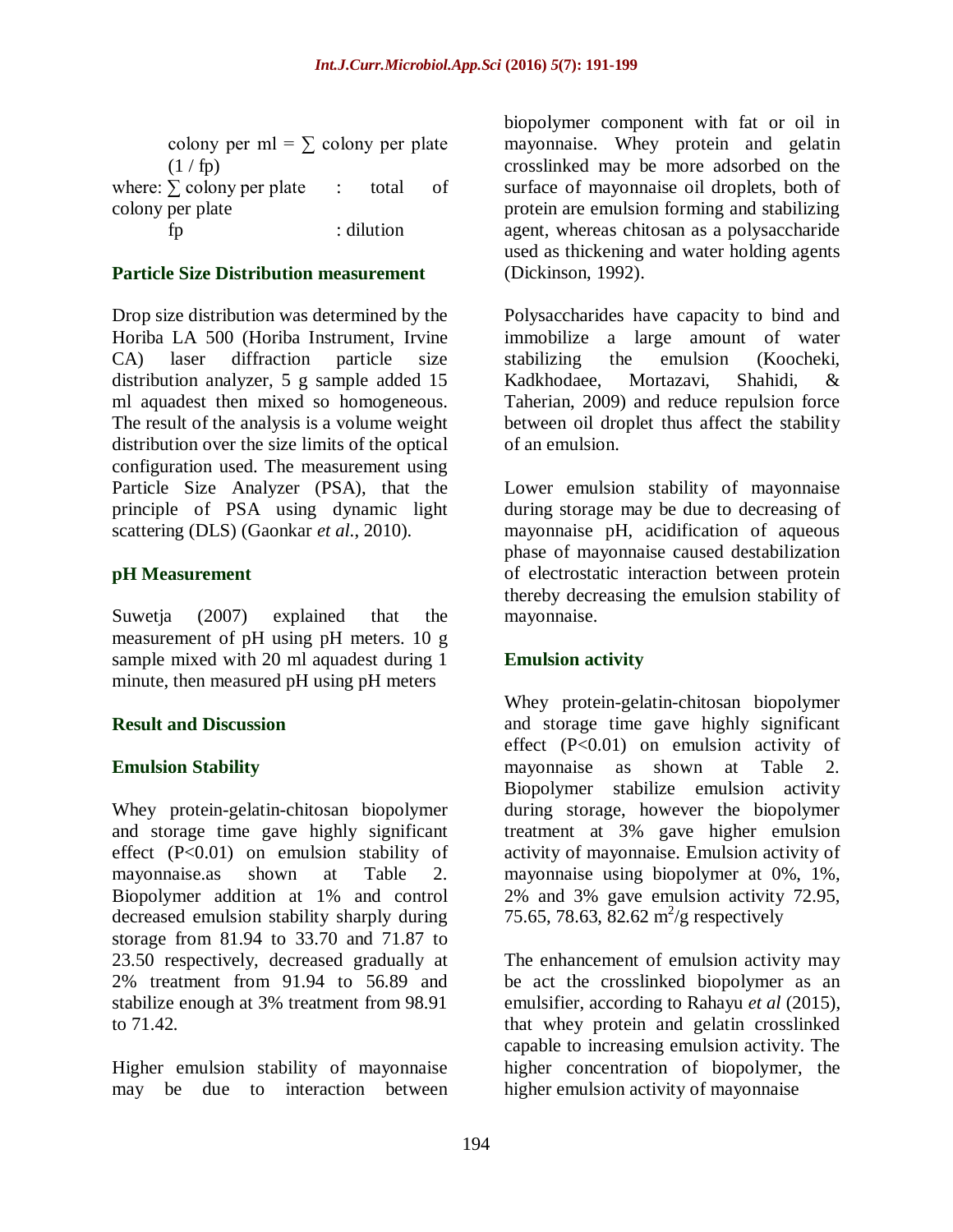colony per ml =  $\Sigma$  colony per plate  $(1/fp)$ where:  $\sum$  colony per plate : total of colony per plate fp : dilution

#### **Particle Size Distribution measurement**

Drop size distribution was determined by the Horiba LA 500 (Horiba Instrument, Irvine CA) laser diffraction particle size distribution analyzer, 5 g sample added 15 ml aquadest then mixed so homogeneous. The result of the analysis is a volume weight distribution over the size limits of the optical configuration used. The measurement using Particle Size Analyzer (PSA), that the principle of PSA using dynamic light scattering (DLS) (Gaonkar *et al*., 2010).

#### **pH Measurement**

Suwetja (2007) explained that the measurement of pH using pH meters. 10 g sample mixed with 20 ml aquadest during 1 minute, then measured pH using pH meters

#### **Result and Discussion**

#### **Emulsion Stability**

Whey protein-gelatin-chitosan biopolymer and storage time gave highly significant effect (P<0.01) on emulsion stability of mayonnaise.as shown at Table 2. Biopolymer addition at 1% and control decreased emulsion stability sharply during storage from 81.94 to 33.70 and 71.87 to 23.50 respectively, decreased gradually at 2% treatment from 91.94 to 56.89 and stabilize enough at 3% treatment from 98.91 to 71.42.

Higher emulsion stability of mayonnaise may be due to interaction between biopolymer component with fat or oil in mayonnaise. Whey protein and gelatin crosslinked may be more adsorbed on the surface of mayonnaise oil droplets, both of protein are emulsion forming and stabilizing agent, whereas chitosan as a polysaccharide used as thickening and water holding agents (Dickinson, 1992).

Polysaccharides have capacity to bind and immobilize a large amount of water stabilizing the emulsion (Koocheki, Kadkhodaee, Mortazavi, Shahidi, & Taherian, 2009) and reduce repulsion force between oil droplet thus affect the stability of an emulsion.

Lower emulsion stability of mayonnaise during storage may be due to decreasing of mayonnaise pH, acidification of aqueous phase of mayonnaise caused destabilization of electrostatic interaction between protein thereby decreasing the emulsion stability of mayonnaise.

#### **Emulsion activity**

Whey protein-gelatin-chitosan biopolymer and storage time gave highly significant effect (P<0.01) on emulsion activity of mayonnaise as shown at Table 2. Biopolymer stabilize emulsion activity during storage, however the biopolymer treatment at 3% gave higher emulsion activity of mayonnaise. Emulsion activity of mayonnaise using biopolymer at 0%, 1%, 2% and 3% gave emulsion activity 72.95, 75.65, 78.63, 82.62 m<sup>2</sup>/g respectively

The enhancement of emulsion activity may be act the crosslinked biopolymer as an emulsifier, according to Rahayu *et al* (2015), that whey protein and gelatin crosslinked capable to increasing emulsion activity. The higher concentration of biopolymer, the higher emulsion activity of mayonnaise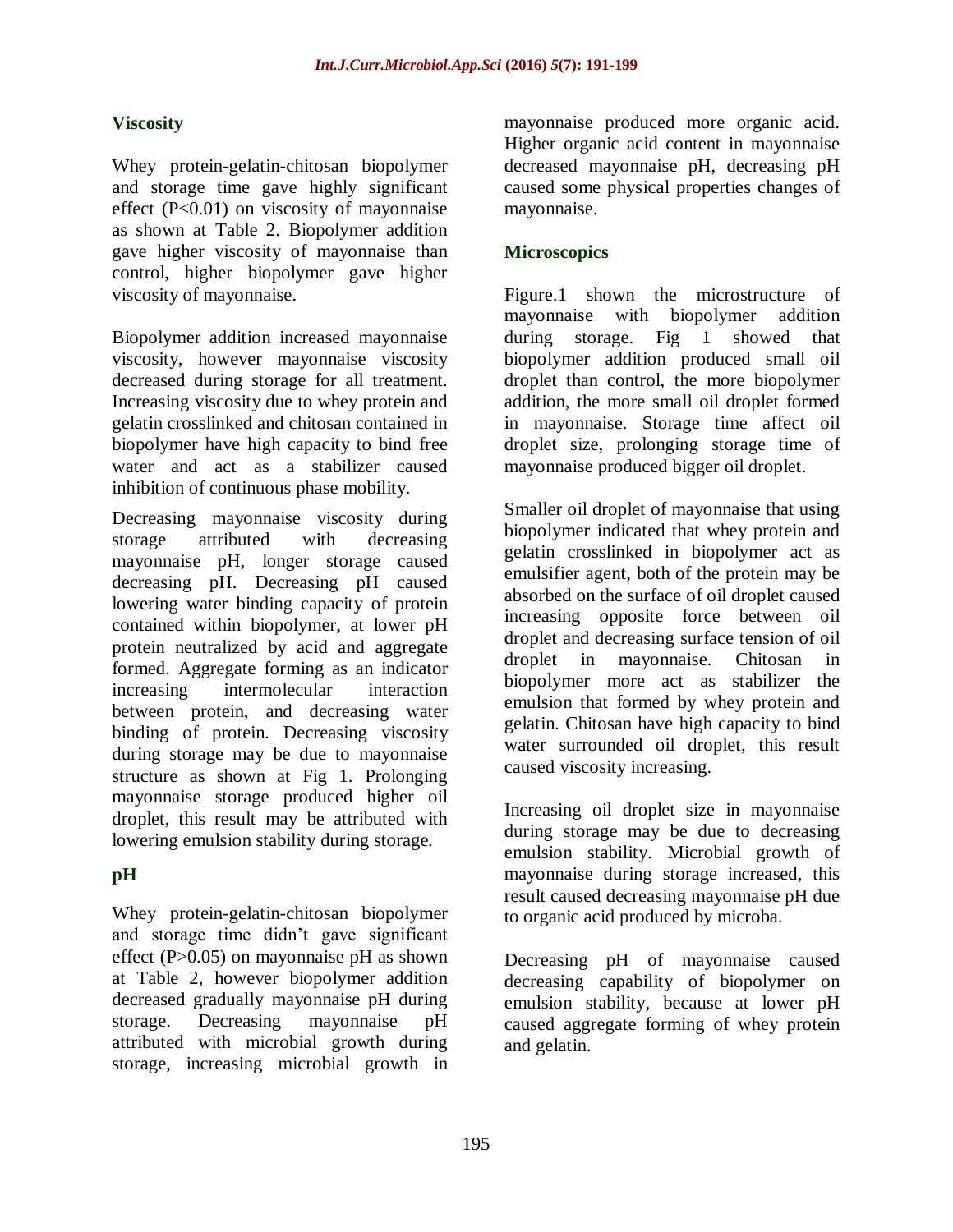# **Viscosity**

Whey protein-gelatin-chitosan biopolymer and storage time gave highly significant effect  $(P<0.01)$  on viscosity of mayonnaise as shown at Table 2. Biopolymer addition gave higher viscosity of mayonnaise than control, higher biopolymer gave higher viscosity of mayonnaise.

Biopolymer addition increased mayonnaise viscosity, however mayonnaise viscosity decreased during storage for all treatment. Increasing viscosity due to whey protein and gelatin crosslinked and chitosan contained in biopolymer have high capacity to bind free water and act as a stabilizer caused inhibition of continuous phase mobility.

Decreasing mayonnaise viscosity during storage attributed with decreasing mayonnaise pH, longer storage caused decreasing pH. Decreasing pH caused lowering water binding capacity of protein contained within biopolymer, at lower pH protein neutralized by acid and aggregate formed. Aggregate forming as an indicator increasing intermolecular interaction between protein, and decreasing water binding of protein. Decreasing viscosity during storage may be due to mayonnaise structure as shown at Fig 1. Prolonging mayonnaise storage produced higher oil droplet, this result may be attributed with lowering emulsion stability during storage.

# **pH**

Whey protein-gelatin-chitosan biopolymer and storage time didn't gave significant effect (P>0.05) on mayonnaise pH as shown at Table 2, however biopolymer addition decreased gradually mayonnaise pH during storage. Decreasing mayonnaise pH attributed with microbial growth during storage, increasing microbial growth in mayonnaise produced more organic acid. Higher organic acid content in mayonnaise decreased mayonnaise pH, decreasing pH caused some physical properties changes of mayonnaise.

# **Microscopics**

Figure.1 shown the microstructure of mayonnaise with biopolymer addition during storage. Fig 1 showed that biopolymer addition produced small oil droplet than control, the more biopolymer addition, the more small oil droplet formed in mayonnaise. Storage time affect oil droplet size, prolonging storage time of mayonnaise produced bigger oil droplet.

Smaller oil droplet of mayonnaise that using biopolymer indicated that whey protein and gelatin crosslinked in biopolymer act as emulsifier agent, both of the protein may be absorbed on the surface of oil droplet caused increasing opposite force between oil droplet and decreasing surface tension of oil droplet in mayonnaise. Chitosan in biopolymer more act as stabilizer the emulsion that formed by whey protein and gelatin. Chitosan have high capacity to bind water surrounded oil droplet, this result caused viscosity increasing.

Increasing oil droplet size in mayonnaise during storage may be due to decreasing emulsion stability. Microbial growth of mayonnaise during storage increased, this result caused decreasing mayonnaise pH due to organic acid produced by microba.

Decreasing pH of mayonnaise caused decreasing capability of biopolymer on emulsion stability, because at lower pH caused aggregate forming of whey protein and gelatin.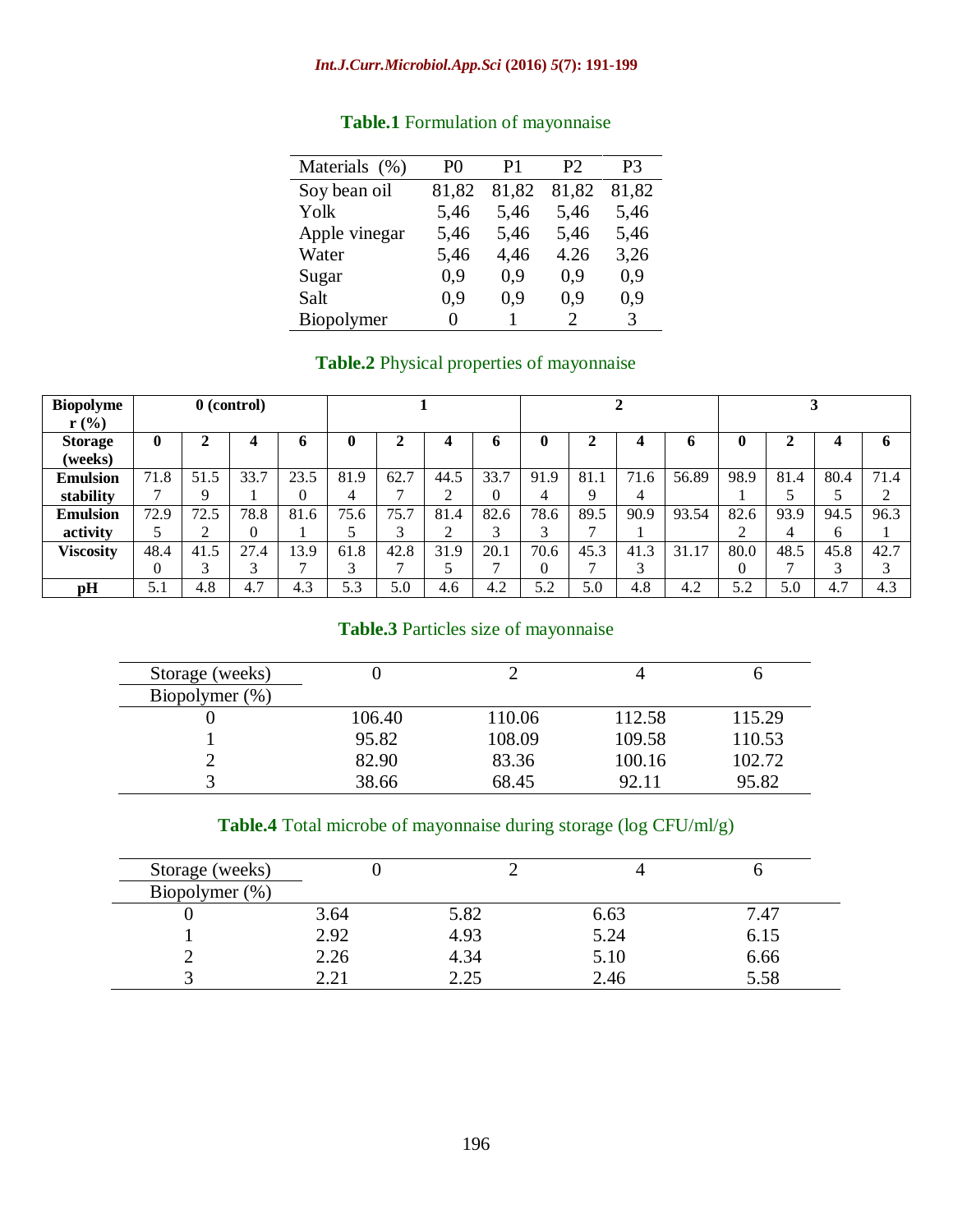## *Int.J.Curr.Microbiol.App.Sci* **(2016)** *5***(7): 191-199**

| Materials (%)     | P <sub>0</sub> | P1    | P2    | P3    |
|-------------------|----------------|-------|-------|-------|
| Soy bean oil      | 81,82          | 81,82 | 81,82 | 81,82 |
| Yolk              | 5,46           | 5,46  | 5,46  | 5,46  |
| Apple vinegar     | 5,46           | 5,46  | 5,46  | 5,46  |
| Water             | 5,46           | 4,46  | 4.26  | 3,26  |
| Sugar             | 0.9            | 0,9   | 0.9   | 0,9   |
| Salt              | 0.9            | 0.9   | 0.9   | 0.9   |
| <b>Biopolymer</b> | 0              |       | 2     | 3     |

# **Table.1** Formulation of mayonnaise

# **Table.2** Physical properties of mayonnaise

 $\overline{a}$ 

| <b>Biopolyme</b><br>$r$ (%) |          |      | $0$ (control) |      |      |      |      |      |          |      |      |       |      |      |      |      |
|-----------------------------|----------|------|---------------|------|------|------|------|------|----------|------|------|-------|------|------|------|------|
| <b>Storage</b><br>(weeks)   | $\bf{0}$ | ∍    | 4             | n    | 0    |      |      |      | $\bf{0}$ |      | 4    | o     | 0    |      | 4    | 6    |
| <b>Emulsion</b>             | 71.8     | 51.5 | 33.7          | 23.5 | 81.9 | 62.7 | 44.5 | 33.7 | 91.9     | 81.1 | 71.6 | 56.89 | 98.9 | 81.4 | 80.4 | 71.4 |
| stability                   |          | Q    |               | 0    | 4    |      |      | 0    | 4        | q    | 4    |       |      |      |      | ◠    |
| <b>Emulsion</b>             | 72.9     | 72.5 | 78.8          | 81.6 | 75.6 | 75.7 | 81.4 | 82.6 | 78.6     | 89.5 | 90.9 | 93.54 | 82.6 | 93.9 | 94.5 | 96.3 |
| activity                    |          | ◠    | $\theta$      |      |      |      | ◠    |      | $\sim$   |      |      |       | ◠    | 4    | 6    |      |
| <b>Viscosity</b>            | 48.4     | 41.5 | 27.4          | 13.9 | 61.8 | 42.8 | 31.9 | 20.1 | 70.6     | 45.3 | 41.3 | 31.17 | 80.0 | 48.5 | 45.8 | 42.7 |
|                             |          |      | 3             | −    | 3    |      |      |      | $\Omega$ |      | ⌒    |       | 0    | −    | 3    | 3    |
| pН                          | 5.1      | 4.8  | 4.7           | 4.3  | 5.3  | 5.0  | 4.6  | 4.2  | 5.2      | 5.0  | 4.8  | 4.2   | 5.2  | 5.0  | 4.7  | 4.3  |

# **Table.3** Particles size of mayonnaise

| Storage (weeks) |        |        |        |        |
|-----------------|--------|--------|--------|--------|
| Biopolymer (%)  |        |        |        |        |
|                 | 106.40 | 110.06 | 112.58 | 115.29 |
|                 | 95.82  | 108.09 | 109.58 | 110.53 |
|                 | 82.90  | 83.36  | 100.16 | 102.72 |
|                 | 38.66  | 68.45  | 92.11  | 95.82  |

# **Table.4** Total microbe of mayonnaise during storage (log CFU/ml/g)

| Storage (weeks) |      |      |      |      |
|-----------------|------|------|------|------|
| Biopolymer (%)  |      |      |      |      |
|                 | 3.64 | 5.82 | 6.63 | 7.47 |
|                 | 2.92 | 4.93 | 5.24 | 6.15 |
|                 | 2.26 | 4.34 | 5.10 | 6.66 |
|                 | 2.21 | 2.25 | 2.46 | 5.58 |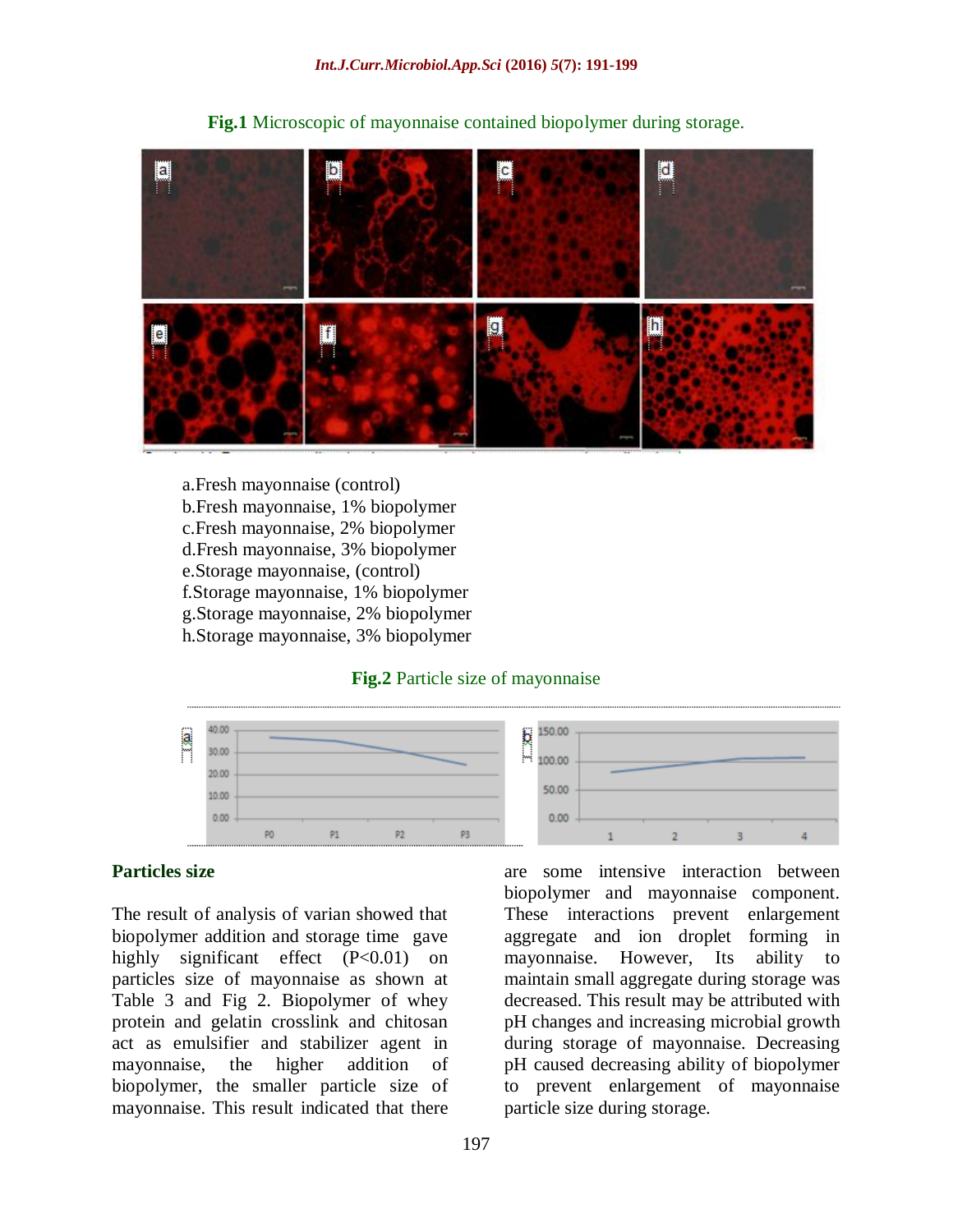

**Fig.1** Microscopic of mayonnaise contained biopolymer during storage.

- a.Fresh mayonnaise (control) b.Fresh mayonnaise, 1% biopolymer c.Fresh mayonnaise, 2% biopolymer d.Fresh mayonnaise, 3% biopolymer e.Storage mayonnaise, (control) f.Storage mayonnaise, 1% biopolymer g.Storage mayonnaise, 2% biopolymer
- h.Storage mayonnaise, 3% biopolymer

#### **Fig.2** Particle size of mayonnaise



#### **Particles size**

The result of analysis of varian showed that biopolymer addition and storage time gave highly significant effect (P<0.01) on particles size of mayonnaise as shown at Table 3 and Fig 2. Biopolymer of whey protein and gelatin crosslink and chitosan act as emulsifier and stabilizer agent in mayonnaise, the higher addition of biopolymer, the smaller particle size of mayonnaise. This result indicated that there

are some intensive interaction between biopolymer and mayonnaise component. These interactions prevent enlargement aggregate and ion droplet forming in mayonnaise. However, Its ability to maintain small aggregate during storage was decreased. This result may be attributed with pH changes and increasing microbial growth during storage of mayonnaise. Decreasing pH caused decreasing ability of biopolymer to prevent enlargement of mayonnaise particle size during storage.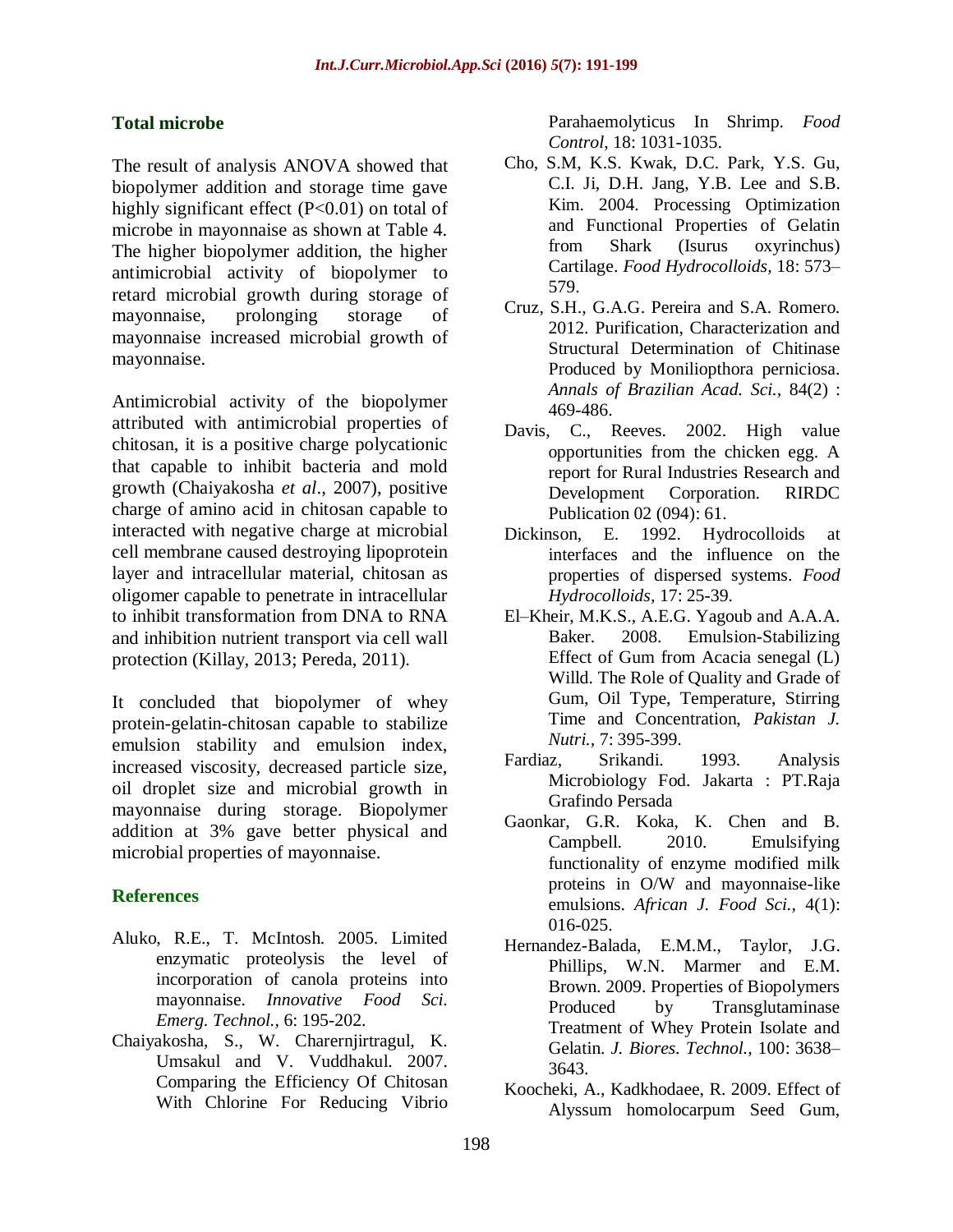## **Total microbe**

The result of analysis ANOVA showed that biopolymer addition and storage time gave highly significant effect (P<0.01) on total of microbe in mayonnaise as shown at Table 4. The higher biopolymer addition, the higher antimicrobial activity of biopolymer to retard microbial growth during storage of mayonnaise, prolonging storage of mayonnaise increased microbial growth of mayonnaise.

Antimicrobial activity of the biopolymer attributed with antimicrobial properties of chitosan, it is a positive charge polycationic that capable to inhibit bacteria and mold growth (Chaiyakosha *et al*., 2007), positive charge of amino acid in chitosan capable to interacted with negative charge at microbial cell membrane caused destroying lipoprotein layer and intracellular material, chitosan as oligomer capable to penetrate in intracellular to inhibit transformation from DNA to RNA and inhibition nutrient transport via cell wall protection (Killay, 2013; Pereda, 2011).

It concluded that biopolymer of whey protein-gelatin-chitosan capable to stabilize emulsion stability and emulsion index, increased viscosity, decreased particle size, oil droplet size and microbial growth in mayonnaise during storage. Biopolymer addition at 3% gave better physical and microbial properties of mayonnaise.

## **References**

- Aluko, R.E., T. McIntosh. 2005. Limited enzymatic proteolysis the level of incorporation of canola proteins into mayonnaise. *Innovative Food Sci. Emerg. Technol.,* 6: 195-202.
- Chaiyakosha, S., W. Charernjirtragul, K. Umsakul and V. Vuddhakul. 2007. Comparing the Efficiency Of Chitosan With Chlorine For Reducing Vibrio

Parahaemolyticus In Shrimp. *Food Control*, 18: 1031-1035.

- Cho, S.M, K.S. Kwak, D.C. Park, Y.S. Gu, C.I. Ji, D.H. Jang, Y.B. Lee and S.B. Kim. 2004. Processing Optimization and Functional Properties of Gelatin from Shark (Isurus oxyrinchus) Cartilage. *Food Hydrocolloids,* 18: 573– 579.
- Cruz, S.H., G.A.G. Pereira and S.A. Romero. 2012. Purification, Characterization and Structural Determination of Chitinase Produced by Moniliopthora perniciosa. *Annals of Brazilian Acad. Sci.,* 84(2) : 469-486.
- Davis, C., Reeves. 2002. High value opportunities from the chicken egg. A report for Rural Industries Research and Development Corporation. RIRDC Publication 02 (094): 61.
- Dickinson, E. 1992. Hydrocolloids at interfaces and the influence on the properties of dispersed systems. *Food Hydrocolloids,* 17: 25-39.
- El–Kheir, M.K.S., A.E.G. Yagoub and A.A.A. Baker. 2008. Emulsion-Stabilizing Effect of Gum from Acacia senegal (L) Willd. The Role of Quality and Grade of Gum, Oil Type, Temperature, Stirring Time and Concentration, *Pakistan J. Nutri.,* 7: 395-399.
- Fardiaz, Srikandi. 1993. Analysis Microbiology Fod. Jakarta : PT.Raja Grafindo Persada
- Gaonkar, G.R. Koka, K. Chen and B. Campbell. 2010. Emulsifying functionality of enzyme modified milk proteins in O/W and mayonnaise-like emulsions. *African J. Food Sci.,* 4(1): 016-025.
- Hernandez-Balada, E.M.M., Taylor, J.G. Phillips, W.N. Marmer and E.M. Brown. 2009. Properties of Biopolymers Produced by Transglutaminase Treatment of Whey Protein Isolate and Gelatin. *J. Biores. Technol.,* 100: 3638– 3643.
- Koocheki, A., Kadkhodaee, R. 2009. Effect of Alyssum homolocarpum Seed Gum,